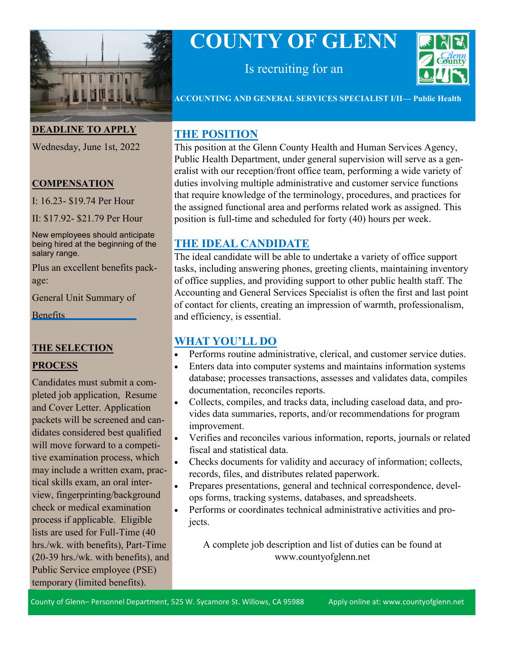

# **COUNTY OF GLENN**



Is recruiting for an

**ACCOUNTING AND GENERAL SERVICES SPECIALIST I/II— Public Health**

#### **DEADLINE TO APPLY**

Wednesday, June 1st, 2022

#### **COMPENSATION**

I: 16.23- \$19.74 Per Hour

II: \$17.92- \$21.79 Per Hour

New employees should anticipate being hired at the beginning of the salary range.

Plus an excellent benefits package:

[General Unit Summary of](https://www.countyofglenn.net/sites/default/files/Personnel/MOU/GCPERL%2014-GU%20Sum%20of%20Benefits%2020110701_0.pdf) 

Benefits

#### **THE SELECTION**

## **PROCESS**

Candidates must submit a completed job application, Resume and Cover Letter. Application packets will be screened and candidates considered best qualified will move forward to a competitive examination process, which may include a written exam, practical skills exam, an oral interview, fingerprinting/background check or medical examination process if applicable. Eligible lists are used for Full-Time (40 hrs./wk. with benefits), Part-Time (20-39 hrs./wk. with benefits), and Public Service employee (PSE) temporary (limited benefits).

## **THE POSITION**

This position at the Glenn County Health and Human Services Agency, Public Health Department, under general supervision will serve as a generalist with our reception/front office team, performing a wide variety of duties involving multiple administrative and customer service functions that require knowledge of the terminology, procedures, and practices for the assigned functional area and performs related work as assigned. This position is full-time and scheduled for forty (40) hours per week.

# **THE IDEAL CANDIDATE**

The ideal candidate will be able to undertake a variety of office support tasks, including answering phones, greeting clients, maintaining inventory of office supplies, and providing support to other public health staff. The Accounting and General Services Specialist is often the first and last point of contact for clients, creating an impression of warmth, professionalism, and efficiency, is essential.

## **WHAT YOU'LL DO**

- Performs routine administrative, clerical, and customer service duties.
- Enters data into computer systems and maintains information systems database; processes transactions, assesses and validates data, compiles documentation, reconciles reports.
- Collects, compiles, and tracks data, including caseload data, and provides data summaries, reports, and/or recommendations for program improvement.
- Verifies and reconciles various information, reports, journals or related fiscal and statistical data.
- Checks documents for validity and accuracy of information; collects, records, files, and distributes related paperwork.
- Prepares presentations, general and technical correspondence, develops forms, tracking systems, databases, and spreadsheets.
- Performs or coordinates technical administrative activities and projects.

A complete job description and list of duties can be found at www.countyofglenn.net